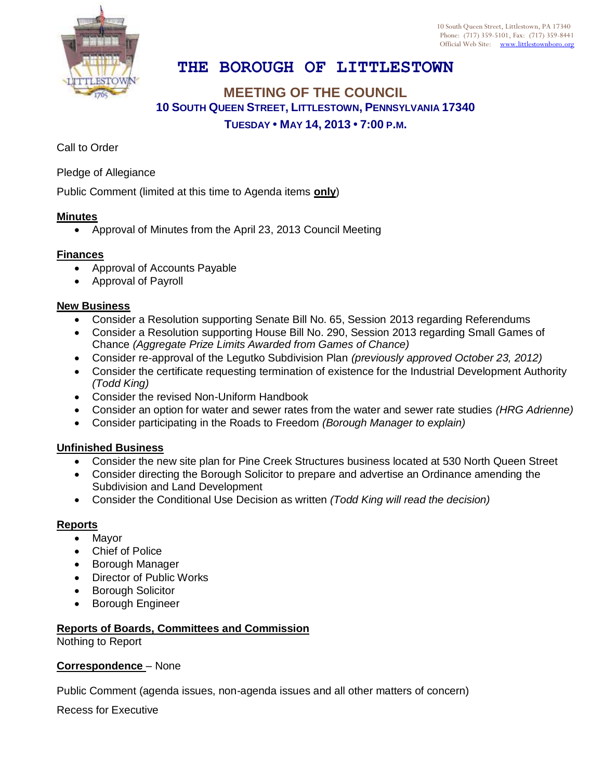

10 South Queen Street, Littlestown, PA 17340 Phone: (717) 359-5101, Fax: (717) 359-8441 Official Web Site: [www.littlestownboro.org](http://www.littlestown.us/)

# **THE BOROUGH OF LITTLESTOWN**

## **MEETING OF THE COUNCIL 10 SOUTH QUEEN STREET, LITTLESTOWN, PENNSYLVANIA 17340 TUESDAY • MAY 14, 2013 • 7:00 P.M.**

Call to Order

Pledge of Allegiance

Public Comment (limited at this time to Agenda items **only**)

#### **Minutes**

Approval of Minutes from the April 23, 2013 Council Meeting

#### **Finances**

- Approval of Accounts Payable
- Approval of Payroll

#### **New Business**

- Consider a Resolution supporting Senate Bill No. 65, Session 2013 regarding Referendums
- Consider a Resolution supporting House Bill No. 290, Session 2013 regarding Small Games of Chance *(Aggregate Prize Limits Awarded from Games of Chance)*
- Consider re-approval of the Legutko Subdivision Plan *(previously approved October 23, 2012)*
- Consider the certificate requesting termination of existence for the Industrial Development Authority *(Todd King)*
- Consider the revised Non-Uniform Handbook
- Consider an option for water and sewer rates from the water and sewer rate studies *(HRG Adrienne)*
- Consider participating in the Roads to Freedom *(Borough Manager to explain)*

#### **Unfinished Business**

- Consider the new site plan for Pine Creek Structures business located at 530 North Queen Street
- Consider directing the Borough Solicitor to prepare and advertise an Ordinance amending the Subdivision and Land Development
- Consider the Conditional Use Decision as written *(Todd King will read the decision)*

#### **Reports**

- Mayor
- Chief of Police
- Borough Manager
- Director of Public Works
- **•** Borough Solicitor
- Borough Engineer

### **Reports of Boards, Committees and Commission**

Nothing to Report

#### **Correspondence** – None

Public Comment (agenda issues, non-agenda issues and all other matters of concern)

Recess for Executive